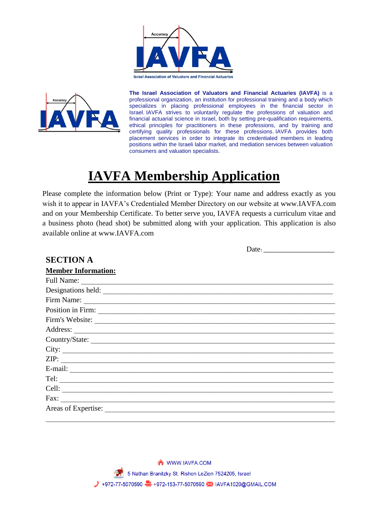





**The Israel Association of Valuators and Financial Actuaries (IAVFA)** is a professional organization, an institution for professional training and a body which specializes in placing professional employees in the financial sector in Israel. IAVFA strives to voluntarily regulate the professions of valuation and financial actuarial science in Israel, both by setting pre-qualification requirements, ethical principles for practitioners in these professions, and by training and certifying quality professionals for these professions. IAVFA provides both placement services in order to integrate its credentialed members in leading positions within the Israeli labor market, and mediation services between valuation consumers and valuation specialists.

Date:

# **IAVFA Membership Application**

Please complete the information below (Print or Type): Your name and address exactly as you wish it to appear in IAVFA's Credentialed Member Directory on our website at www.IAVFA.com and on your Membership Certificate. To better serve you, IAVFA requests a curriculum vitae and a business photo (head shot) be submitted along with your application. This application is also available online at www.IAVFA.com

| <b>SECTION A</b>           |  |
|----------------------------|--|
| <b>Member Information:</b> |  |
|                            |  |
| Designations held:         |  |
|                            |  |
|                            |  |
| Firm's Website:            |  |
|                            |  |
|                            |  |
|                            |  |
| ZIP:                       |  |
|                            |  |
|                            |  |
|                            |  |
| Fax: $\qquad \qquad$       |  |
|                            |  |
|                            |  |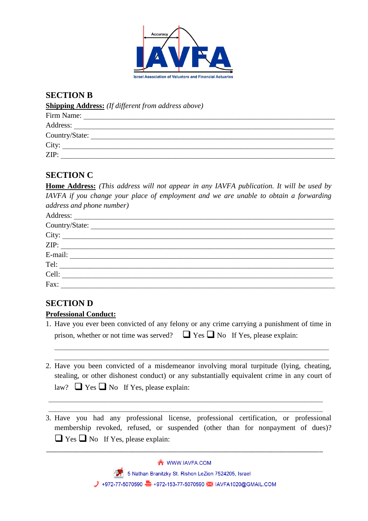

## **SECTION B**

**Shipping Address:** *(If different from address above)*

| Firm Name:     |  |  |
|----------------|--|--|
| Address:       |  |  |
| Country/State: |  |  |
| City:          |  |  |
| ZIP:           |  |  |

## **SECTION C**

**Home Address:** *(This address will not appear in any IAVFA publication. It will be used by IAVFA if you change your place of employment and we are unable to obtain a forwarding address and phone number)*

| Country/State: |
|----------------|
|                |
| ZIP:           |
|                |
| Tel:           |
|                |
| Fax:           |

## **SECTION D**

#### **Professional Conduct:**

1. Have you ever been convicted of any felony or any crime carrying a punishment of time in prison, whether or not time was served?  $\Box$  Yes  $\Box$  No If Yes, please explain:

 $\mathcal{L}_\mathcal{L} = \{ \mathcal{L}_\mathcal{L} = \{ \mathcal{L}_\mathcal{L} = \{ \mathcal{L}_\mathcal{L} = \{ \mathcal{L}_\mathcal{L} = \{ \mathcal{L}_\mathcal{L} = \{ \mathcal{L}_\mathcal{L} = \{ \mathcal{L}_\mathcal{L} = \{ \mathcal{L}_\mathcal{L} = \{ \mathcal{L}_\mathcal{L} = \{ \mathcal{L}_\mathcal{L} = \{ \mathcal{L}_\mathcal{L} = \{ \mathcal{L}_\mathcal{L} = \{ \mathcal{L}_\mathcal{L} = \{ \mathcal{L}_\mathcal{$  $\mathcal{L}_\mathcal{L} = \{ \mathcal{L}_\mathcal{L} = \{ \mathcal{L}_\mathcal{L} = \{ \mathcal{L}_\mathcal{L} = \{ \mathcal{L}_\mathcal{L} = \{ \mathcal{L}_\mathcal{L} = \{ \mathcal{L}_\mathcal{L} = \{ \mathcal{L}_\mathcal{L} = \{ \mathcal{L}_\mathcal{L} = \{ \mathcal{L}_\mathcal{L} = \{ \mathcal{L}_\mathcal{L} = \{ \mathcal{L}_\mathcal{L} = \{ \mathcal{L}_\mathcal{L} = \{ \mathcal{L}_\mathcal{L} = \{ \mathcal{L}_\mathcal{$ 

2. Have you been convicted of a misdemeanor involving moral turpitude (lying, cheating, stealing, or other dishonest conduct) or any substantially equivalent crime in any court of law?  $\Box$  Yes  $\Box$  No If Yes, please explain:

 $\mathcal{L}_\mathcal{L} = \{ \mathcal{L}_\mathcal{L} = \{ \mathcal{L}_\mathcal{L} = \{ \mathcal{L}_\mathcal{L} = \{ \mathcal{L}_\mathcal{L} = \{ \mathcal{L}_\mathcal{L} = \{ \mathcal{L}_\mathcal{L} = \{ \mathcal{L}_\mathcal{L} = \{ \mathcal{L}_\mathcal{L} = \{ \mathcal{L}_\mathcal{L} = \{ \mathcal{L}_\mathcal{L} = \{ \mathcal{L}_\mathcal{L} = \{ \mathcal{L}_\mathcal{L} = \{ \mathcal{L}_\mathcal{L} = \{ \mathcal{L}_\mathcal{$  $\mathcal{L}_\text{max} = \frac{1}{2} \sum_{i=1}^n \mathcal{L}_\text{max}(\mathbf{z}_i - \mathbf{z}_i)$ 

3. Have you had any professional license, professional certification, or professional membership revoked, refused, or suspended (other than for nonpayment of dues)?  $\Box$  Yes  $\Box$  No If Yes, please explain:

\_\_\_\_\_\_\_\_\_\_\_\_\_\_\_\_\_\_\_\_\_\_\_\_\_\_\_\_\_\_\_\_\_\_\_\_\_\_\_\_\_\_\_\_\_\_\_\_\_\_\_\_\_\_\_\_\_\_\_\_\_\_\_\_\_\_\_\_\_\_\_\_\_\_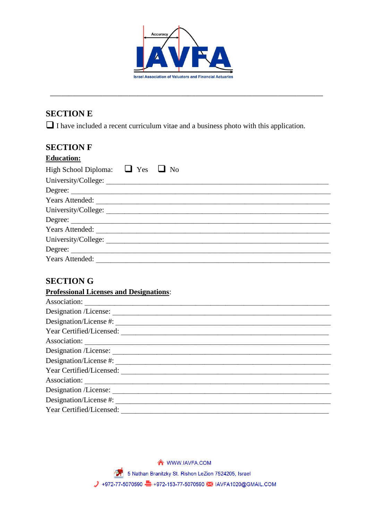

# **SECTION E**

 $\Box$  I have included a recent curriculum vitae and a business photo with this application.

## **SECTION F**

| <b>Education:</b>                         |  |
|-------------------------------------------|--|
| High School Diploma: $\Box$ Yes $\Box$ No |  |
| University/College:                       |  |
|                                           |  |
| Years Attended:                           |  |
| University/College:                       |  |
| Degree:                                   |  |
| Years Attended:                           |  |
| University/College:                       |  |
| Degree:                                   |  |
| Years Attended:                           |  |

# **SECTION G**

| <b>Professional Licenses and Designations:</b> |
|------------------------------------------------|
| Association:                                   |
|                                                |
| Designation/License #:                         |
| Year Certified/Licensed:                       |
| Association:                                   |
| Designation /License:                          |
| Designation/License #:                         |
| Year Certified/Licensed:                       |
| Association:                                   |
|                                                |
| Designation/License #:                         |
| Year Certified/Licensed:                       |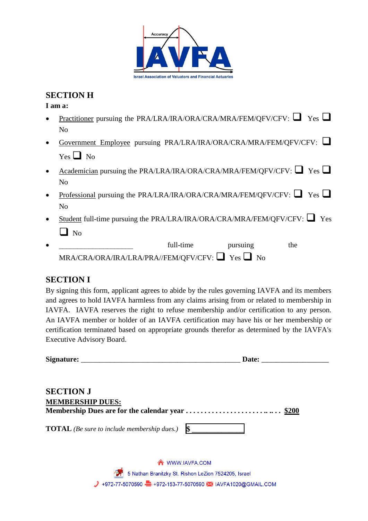

## **SECTION H**

**I am a:**

| $\bullet$ | Practitioner pursuing the PRA/LRA/IRA/ORA/CRA/MRA/FEM/QFV/CFV: $\Box$ Yes $\Box$ |  |
|-----------|----------------------------------------------------------------------------------|--|
|           | N <sub>o</sub>                                                                   |  |
| $\bullet$ | Government Employee pursuing PRA/LRA/IRA/ORA/CRA/MRA/FEM/OFV/CFV:                |  |
|           | $Yes \Box No$                                                                    |  |
| $\bullet$ | Academician pursuing the PRA/LRA/IRA/ORA/CRA/MRA/FEM/QFV/CFV: $\Box$ Yes $\Box$  |  |
|           | N <sub>0</sub>                                                                   |  |
| $\bullet$ | <u>Professional</u> pursuing the PRA/LRA/IRA/ORA/CRA/MRA/FEM/QFV/CFV: $\Box$ Yes |  |
|           | N <sub>o</sub>                                                                   |  |
|           |                                                                                  |  |

- Student full-time pursuing the PRA/LRA/IRA/ORA/CRA/MRA/FEM/QFV/CFV:  $\Box$  Yes  $\Box$  No
- full-time pursuing the  $\begin{minipage}{.4\linewidth} \textbf{MRA/CRA/ORA/IRA/IRA/FEM/QFV/CFV:} \hspace{0.2cm} \textbf{Yes} \hspace{0.2cm} \textbf{Y} \hspace{0.2cm} \textbf{No} \end{minipage}$

## **SECTION I**

By signing this form, applicant agrees to abide by the rules governing IAVFA and its members and agrees to hold IAVFA harmless from any claims arising from or related to membership in IAVFA. IAVFA reserves the right to refuse membership and/or certification to any person. An IAVFA member or holder of an IAVFA certification may have his or her membership or certification terminated based on appropriate grounds therefor as determined by the IAVFA's Executive Advisory Board.

|                                                    |                                                      | Date: |  |
|----------------------------------------------------|------------------------------------------------------|-------|--|
| <b>SECTION J</b>                                   |                                                      |       |  |
| <b>MEMBERSHIP DUES:</b>                            |                                                      |       |  |
|                                                    |                                                      |       |  |
| <b>TOTAL</b> (Be sure to include membership dues.) | $\sim$                                               |       |  |
|                                                    | WWW.IAVFA.COM                                        |       |  |
|                                                    | 5 Nathan Branitzky St. Rishon LeZion 7524205, Israel |       |  |

/ +972-77-5070590 → +972-153-77-5070590 → IAVFA1020@GMAIL.COM